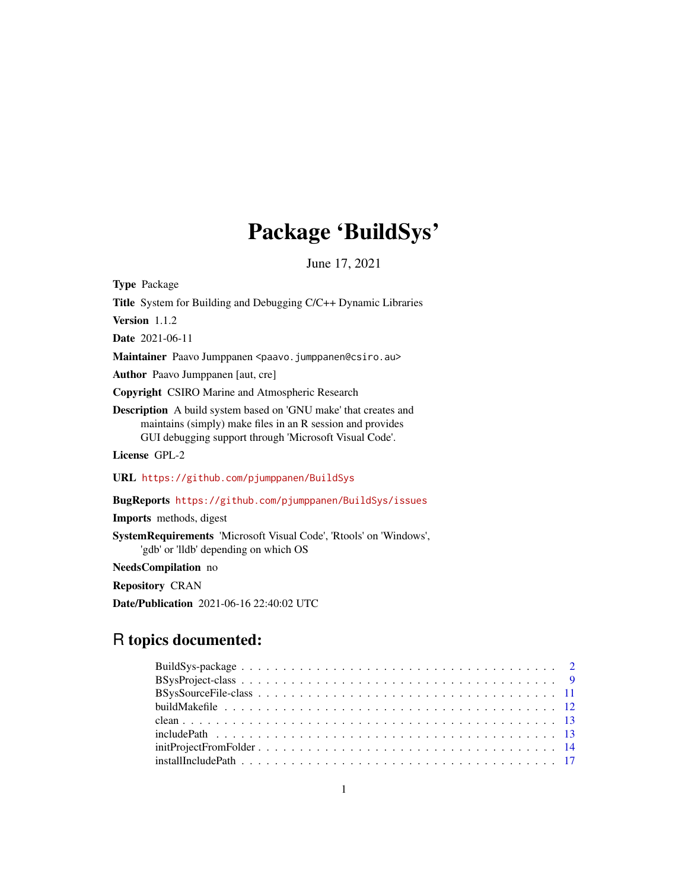# Package 'BuildSys'

June 17, 2021

<span id="page-0-0"></span>Type Package

Title System for Building and Debugging C/C++ Dynamic Libraries

Version 1.1.2

Date 2021-06-11

Maintainer Paavo Jumppanen <paavo.jumppanen@csiro.au>

Author Paavo Jumppanen [aut, cre]

Copyright CSIRO Marine and Atmospheric Research

Description A build system based on 'GNU make' that creates and maintains (simply) make files in an R session and provides GUI debugging support through 'Microsoft Visual Code'.

License GPL-2

URL <https://github.com/pjumppanen/BuildSys>

BugReports <https://github.com/pjumppanen/BuildSys/issues>

Imports methods, digest

SystemRequirements 'Microsoft Visual Code', 'Rtools' on 'Windows', 'gdb' or 'lldb' depending on which OS

NeedsCompilation no

Repository CRAN

Date/Publication 2021-06-16 22:40:02 UTC

# R topics documented: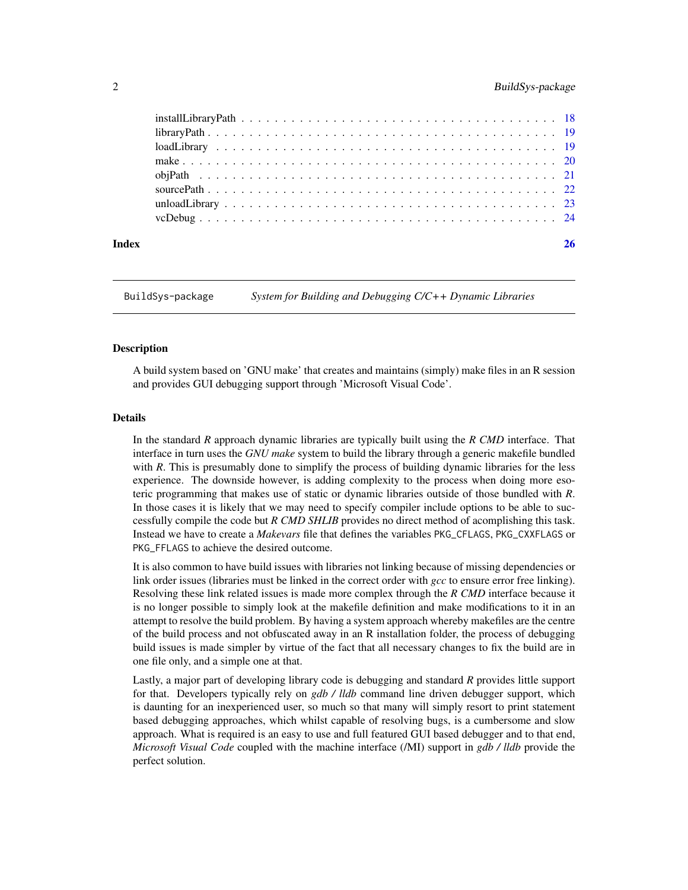# <span id="page-1-0"></span>2 BuildSys-package

| Index | 26 |
|-------|----|

<span id="page-1-1"></span>BuildSys-package *System for Building and Debugging C/C++ Dynamic Libraries*

#### Description

A build system based on 'GNU make' that creates and maintains (simply) make files in an R session and provides GUI debugging support through 'Microsoft Visual Code'.

#### Details

In the standard *R* approach dynamic libraries are typically built using the *R CMD* interface. That interface in turn uses the *GNU make* system to build the library through a generic makefile bundled with *R*. This is presumably done to simplify the process of building dynamic libraries for the less experience. The downside however, is adding complexity to the process when doing more esoteric programming that makes use of static or dynamic libraries outside of those bundled with *R*. In those cases it is likely that we may need to specify compiler include options to be able to successfully compile the code but *R CMD SHLIB* provides no direct method of acomplishing this task. Instead we have to create a *Makevars* file that defines the variables PKG\_CFLAGS, PKG\_CXXFLAGS or PKG\_FFLAGS to achieve the desired outcome.

It is also common to have build issues with libraries not linking because of missing dependencies or link order issues (libraries must be linked in the correct order with *gcc* to ensure error free linking). Resolving these link related issues is made more complex through the *R CMD* interface because it is no longer possible to simply look at the makefile definition and make modifications to it in an attempt to resolve the build problem. By having a system approach whereby makefiles are the centre of the build process and not obfuscated away in an R installation folder, the process of debugging build issues is made simpler by virtue of the fact that all necessary changes to fix the build are in one file only, and a simple one at that.

Lastly, a major part of developing library code is debugging and standard *R* provides little support for that. Developers typically rely on *gdb / lldb* command line driven debugger support, which is daunting for an inexperienced user, so much so that many will simply resort to print statement based debugging approaches, which whilst capable of resolving bugs, is a cumbersome and slow approach. What is required is an easy to use and full featured GUI based debugger and to that end, *Microsoft Visual Code* coupled with the machine interface (/MI) support in *gdb / lldb* provide the perfect solution.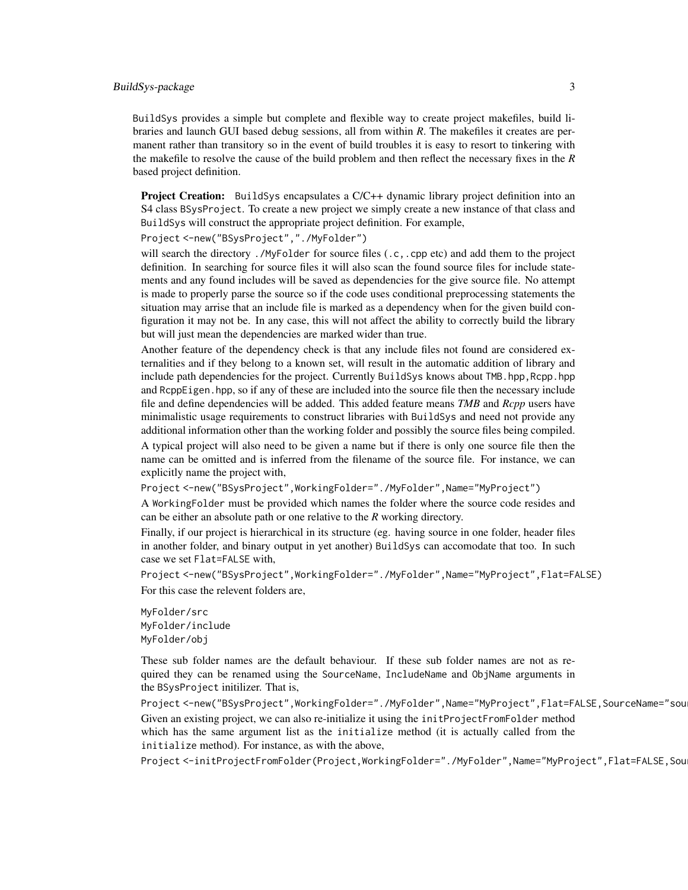# BuildSys-package 3

BuildSys provides a simple but complete and flexible way to create project makefiles, build libraries and launch GUI based debug sessions, all from within *R*. The makefiles it creates are permanent rather than transitory so in the event of build troubles it is easy to resort to tinkering with the makefile to resolve the cause of the build problem and then reflect the necessary fixes in the *R* based project definition.

Project Creation: BuildSys encapsulates a C/C++ dynamic library project definition into an S4 class BSysProject. To create a new project we simply create a new instance of that class and BuildSys will construct the appropriate project definition. For example,

Project <-new("BSysProject","./MyFolder")

will search the directory ./MyFolder for source files (.c,.cpp etc) and add them to the project definition. In searching for source files it will also scan the found source files for include statements and any found includes will be saved as dependencies for the give source file. No attempt is made to properly parse the source so if the code uses conditional preprocessing statements the situation may arrise that an include file is marked as a dependency when for the given build configuration it may not be. In any case, this will not affect the ability to correctly build the library but will just mean the dependencies are marked wider than true.

Another feature of the dependency check is that any include files not found are considered externalities and if they belong to a known set, will result in the automatic addition of library and include path dependencies for the project. Currently BuildSys knows about TMB.hpp,Rcpp.hpp and RcppEigen.hpp, so if any of these are included into the source file then the necessary include file and define dependencies will be added. This added feature means *TMB* and *Rcpp* users have minimalistic usage requirements to construct libraries with BuildSys and need not provide any additional information other than the working folder and possibly the source files being compiled. A typical project will also need to be given a name but if there is only one source file then the name can be omitted and is inferred from the filename of the source file. For instance, we can explicitly name the project with,

Project <- new("BSysProject", WorkingFolder="./MyFolder", Name="MyProject")

A WorkingFolder must be provided which names the folder where the source code resides and can be either an absolute path or one relative to the *R* working directory.

Finally, if our project is hierarchical in its structure (eg. having source in one folder, header files in another folder, and binary output in yet another) BuildSys can accomodate that too. In such case we set Flat=FALSE with,

Project <-new("BSysProject",WorkingFolder="./MyFolder",Name="MyProject",Flat=FALSE) For this case the relevent folders are,

MyFolder/src MyFolder/include MyFolder/obj

These sub folder names are the default behaviour. If these sub folder names are not as required they can be renamed using the SourceName, IncludeName and ObjName arguments in the BSysProject initilizer. That is,

Project <-new("BSysProject",WorkingFolder="./MyFolder",Name="MyProject",Flat=FALSE,SourceName="sou Given an existing project, we can also re-initialize it using the initProjectFromFolder method which has the same argument list as the initialize method (it is actually called from the initialize method). For instance, as with the above,

Project <-initProjectFromFolder(Project,WorkingFolder="./MyFolder",Name="MyProject",Flat=FALSE,Sou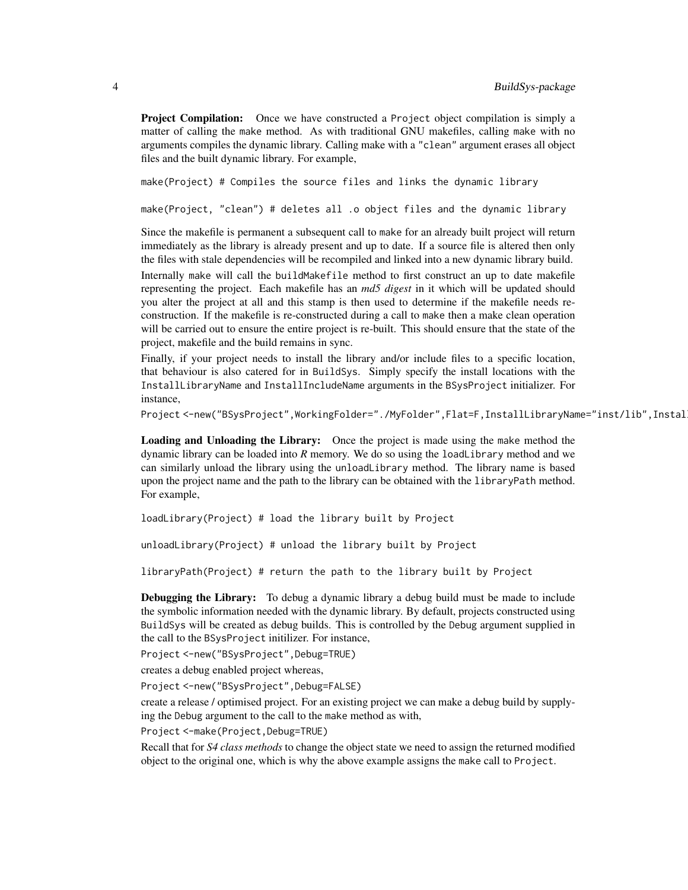Project Compilation: Once we have constructed a Project object compilation is simply a matter of calling the make method. As with traditional GNU makefiles, calling make with no arguments compiles the dynamic library. Calling make with a "clean" argument erases all object files and the built dynamic library. For example,

make(Project) # Compiles the source files and links the dynamic library

make(Project, "clean") # deletes all .o object files and the dynamic library

Since the makefile is permanent a subsequent call to make for an already built project will return immediately as the library is already present and up to date. If a source file is altered then only the files with stale dependencies will be recompiled and linked into a new dynamic library build. Internally make will call the buildMakefile method to first construct an up to date makefile representing the project. Each makefile has an *md5 digest* in it which will be updated should you alter the project at all and this stamp is then used to determine if the makefile needs reconstruction. If the makefile is re-constructed during a call to make then a make clean operation will be carried out to ensure the entire project is re-built. This should ensure that the state of the project, makefile and the build remains in sync.

Finally, if your project needs to install the library and/or include files to a specific location, that behaviour is also catered for in BuildSys. Simply specify the install locations with the InstallLibraryName and InstallIncludeName arguments in the BSysProject initializer. For instance,

Project <-new("BSysProject",WorkingFolder="./MyFolder",Flat=F,InstallLibraryName="inst/lib",Instal

Loading and Unloading the Library: Once the project is made using the make method the dynamic library can be loaded into *R* memory. We do so using the loadLibrary method and we can similarly unload the library using the unloadLibrary method. The library name is based upon the project name and the path to the library can be obtained with the libraryPath method. For example,

loadLibrary(Project) # load the library built by Project

unloadLibrary(Project) # unload the library built by Project

libraryPath(Project) # return the path to the library built by Project

Debugging the Library: To debug a dynamic library a debug build must be made to include the symbolic information needed with the dynamic library. By default, projects constructed using BuildSys will be created as debug builds. This is controlled by the Debug argument supplied in the call to the BSysProject initilizer. For instance,

Project <-new("BSysProject",Debug=TRUE)

creates a debug enabled project whereas,

Project <-new("BSysProject",Debug=FALSE)

create a release / optimised project. For an existing project we can make a debug build by supplying the Debug argument to the call to the make method as with,

Project <-make(Project,Debug=TRUE)

Recall that for *S4 class methods* to change the object state we need to assign the returned modified object to the original one, which is why the above example assigns the make call to Project.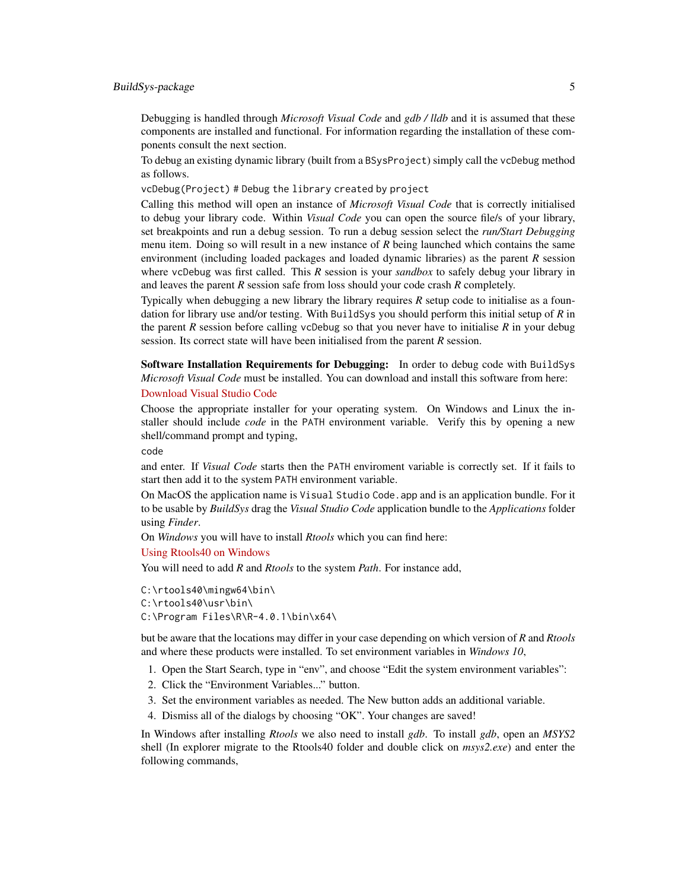# BuildSys-package 5

Debugging is handled through *Microsoft Visual Code* and *gdb / lldb* and it is assumed that these components are installed and functional. For information regarding the installation of these components consult the next section.

To debug an existing dynamic library (built from a BSysProject) simply call the vcDebug method as follows.

vcDebug(Project) # Debug the library created by project

Calling this method will open an instance of *Microsoft Visual Code* that is correctly initialised to debug your library code. Within *Visual Code* you can open the source file/s of your library, set breakpoints and run a debug session. To run a debug session select the *run/Start Debugging* menu item. Doing so will result in a new instance of *R* being launched which contains the same environment (including loaded packages and loaded dynamic libraries) as the parent *R* session where vcDebug was first called. This *R* session is your *sandbox* to safely debug your library in and leaves the parent *R* session safe from loss should your code crash *R* completely.

Typically when debugging a new library the library requires  $R$  setup code to initialise as a foundation for library use and/or testing. With BuildSys you should perform this initial setup of *R* in the parent *R* session before calling vcDebug so that you never have to initialise *R* in your debug session. Its correct state will have been initialised from the parent *R* session.

Software Installation Requirements for Debugging: In order to debug code with BuildSys *Microsoft Visual Code* must be installed. You can download and install this software from here: [Download Visual Studio Code](https://code.visualstudio.com/download)

Choose the appropriate installer for your operating system. On Windows and Linux the installer should include *code* in the PATH environment variable. Verify this by opening a new shell/command prompt and typing,

code

and enter. If *Visual Code* starts then the PATH enviroment variable is correctly set. If it fails to start then add it to the system PATH environment variable.

On MacOS the application name is Visual Studio Code.app and is an application bundle. For it to be usable by *BuildSys* drag the *Visual Studio Code* application bundle to the *Applications* folder using *Finder*.

On *Windows* you will have to install *Rtools* which you can find here:

#### [Using Rtools40 on Windows](https://cran.r-project.org/bin/windows/Rtools/)

You will need to add *R* and *Rtools* to the system *Path*. For instance add,

C:\rtools40\mingw64\bin\ C:\rtools40\usr\bin\ C:\Program Files\R\R-4.0.1\bin\x64\

but be aware that the locations may differ in your case depending on which version of *R* and *Rtools* and where these products were installed. To set environment variables in *Windows 10*,

- 1. Open the Start Search, type in "env", and choose "Edit the system environment variables":
- 2. Click the "Environment Variables..." button.
- 3. Set the environment variables as needed. The New button adds an additional variable.
- 4. Dismiss all of the dialogs by choosing "OK". Your changes are saved!

In Windows after installing *Rtools* we also need to install *gdb*. To install *gdb*, open an *MSYS2* shell (In explorer migrate to the Rtools40 folder and double click on *msys2.exe*) and enter the following commands,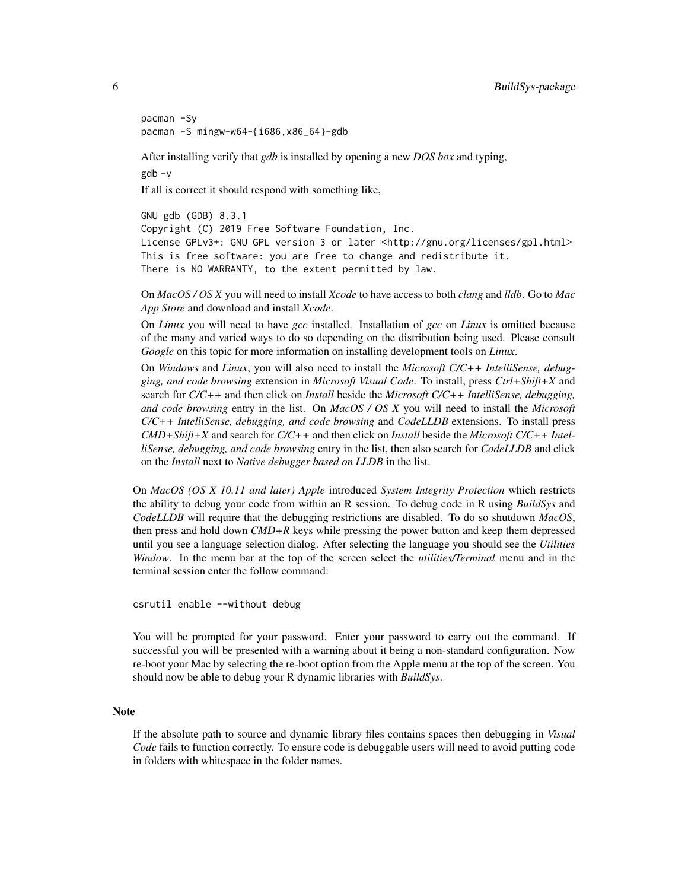```
pacman -Sy
pacman -S mingw-w64-{i686,x86_64}-gdb
```
After installing verify that *gdb* is installed by opening a new *DOS box* and typing, gdb -v

If all is correct it should respond with something like,

GNU gdb (GDB) 8.3.1 Copyright (C) 2019 Free Software Foundation, Inc. License GPLv3+: GNU GPL version 3 or later <http://gnu.org/licenses/gpl.html> This is free software: you are free to change and redistribute it. There is NO WARRANTY, to the extent permitted by law.

On *MacOS / OS X* you will need to install *Xcode* to have access to both *clang* and *lldb*. Go to *Mac App Store* and download and install *Xcode*.

On *Linux* you will need to have *gcc* installed. Installation of *gcc* on *Linux* is omitted because of the many and varied ways to do so depending on the distribution being used. Please consult *Google* on this topic for more information on installing development tools on *Linux*.

On *Windows* and *Linux*, you will also need to install the *Microsoft C/C++ IntelliSense, debugging, and code browsing* extension in *Microsoft Visual Code*. To install, press *Ctrl+Shift+X* and search for *C/C++* and then click on *Install* beside the *Microsoft C/C++ IntelliSense, debugging, and code browsing* entry in the list. On *MacOS / OS X* you will need to install the *Microsoft C/C++ IntelliSense, debugging, and code browsing* and *CodeLLDB* extensions. To install press *CMD+Shift+X* and search for *C/C++* and then click on *Install* beside the *Microsoft C/C++ IntelliSense, debugging, and code browsing* entry in the list, then also search for *CodeLLDB* and click on the *Install* next to *Native debugger based on LLDB* in the list.

On *MacOS (OS X 10.11 and later) Apple* introduced *System Integrity Protection* which restricts the ability to debug your code from within an R session. To debug code in R using *BuildSys* and *CodeLLDB* will require that the debugging restrictions are disabled. To do so shutdown *MacOS*, then press and hold down *CMD+R* keys while pressing the power button and keep them depressed until you see a language selection dialog. After selecting the language you should see the *Utilities Window*. In the menu bar at the top of the screen select the *utilities/Terminal* menu and in the terminal session enter the follow command:

csrutil enable --without debug

You will be prompted for your password. Enter your password to carry out the command. If successful you will be presented with a warning about it being a non-standard configuration. Now re-boot your Mac by selecting the re-boot option from the Apple menu at the top of the screen. You should now be able to debug your R dynamic libraries with *BuildSys*.

# Note

If the absolute path to source and dynamic library files contains spaces then debugging in *Visual Code* fails to function correctly. To ensure code is debuggable users will need to avoid putting code in folders with whitespace in the folder names.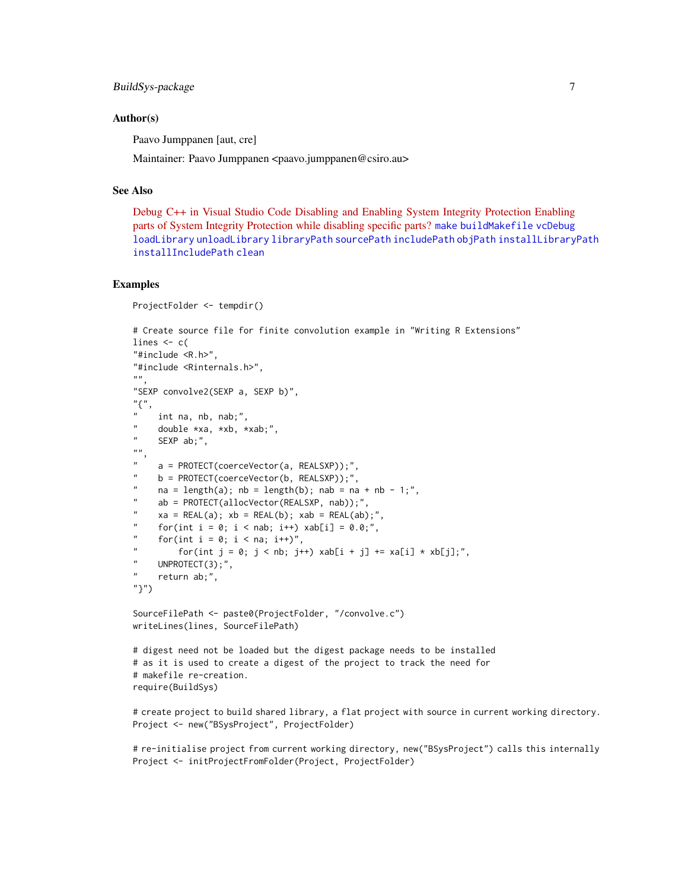```
BuildSys-package 7
```
# Author(s)

Paavo Jumppanen [aut, cre]

Maintainer: Paavo Jumppanen <paavo.jumppanen@csiro.au>

# See Also

[Debug C++ in Visual Studio Code](https://code.visualstudio.com/docs/cpp/cpp-debug) [Disabling and Enabling System Integrity Protection](https://developer.apple.com/documentation/security/disabling_and_enabling_system_integrity_protection) [Enabling](https://developer.apple.com/forums/thread/17452) [parts of System Integrity Protection while disabling specific parts?](https://developer.apple.com/forums/thread/17452) [make](#page-19-1) [buildMakefile](#page-11-1) [vcDebug](#page-23-1) [loadLibrary](#page-18-1) [unloadLibrary](#page-22-1) [libraryPath](#page-18-2) [sourcePath](#page-21-1) [includePath](#page-12-1) [objPath](#page-20-1) [installLibraryPath](#page-17-1) [installIncludePath](#page-16-1) [clean](#page-12-2)

# Examples

```
ProjectFolder <- tempdir()
# Create source file for finite convolution example in "Writing R Extensions"
lines <- c(
"#include <R.h>",
"#include <Rinternals.h>",
" ""SEXP convolve2(SEXP a, SEXP b)",
"{",
    int na, nb, nab;",
     double *xa, *xb, *xab;",
    SEXP ab;",
\frac{n}{n},
    a = PROTECT(coerceVector(a, REALSXP));",
" b = PROTECT(coerceVector(b, REALSXP));",
    na = length(a); nb = length(b); nab = na + nb - 1;",ab = PROTECT(allocVector(REALSXP, nab));"
    xa = REAL(a); xb = REAL(b); xab = REAL(ab);"for(int i = 0; i < nab; i++) xab[i] = 0.0;",
     for(int i = 0; i < na; i++)'',
         for(int j = 0; j < nb; j++) xab[i + j] += xa[i] * xb[j];",
     UNPROTECT(3);",
     return ab;",
"}")
SourceFilePath <- paste0(ProjectFolder, "/convolve.c")
writeLines(lines, SourceFilePath)
# digest need not be loaded but the digest package needs to be installed
# as it is used to create a digest of the project to track the need for
# makefile re-creation.
require(BuildSys)
```
# create project to build shared library, a flat project with source in current working directory. Project <- new("BSysProject", ProjectFolder)

# re-initialise project from current working directory, new("BSysProject") calls this internally Project <- initProjectFromFolder(Project, ProjectFolder)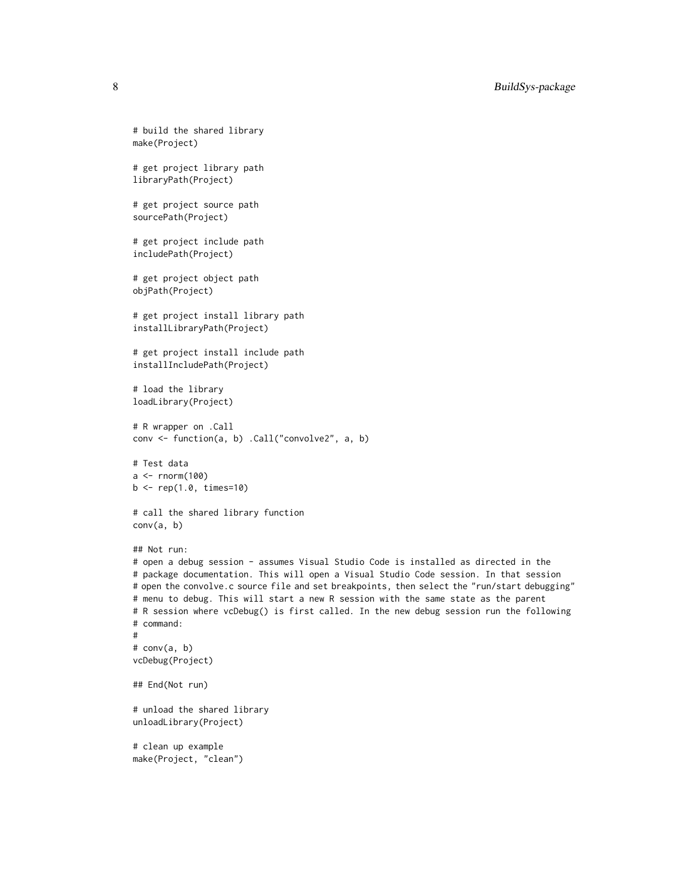```
# build the shared library
make(Project)
# get project library path
libraryPath(Project)
# get project source path
sourcePath(Project)
# get project include path
includePath(Project)
# get project object path
objPath(Project)
# get project install library path
installLibraryPath(Project)
# get project install include path
installIncludePath(Project)
# load the library
loadLibrary(Project)
# R wrapper on .Call
conv <- function(a, b) .Call("convolve2", a, b)
# Test data
a \leftarrow \text{norm}(100)b \leq -rep(1.0, times=10)# call the shared library function
conv(a, b)
## Not run:
# open a debug session - assumes Visual Studio Code is installed as directed in the
# package documentation. This will open a Visual Studio Code session. In that session
# open the convolve.c source file and set breakpoints, then select the "run/start debugging"
# menu to debug. This will start a new R session with the same state as the parent
# R session where vcDebug() is first called. In the new debug session run the following
# command:
#
# conv(a, b)
vcDebug(Project)
## End(Not run)
# unload the shared library
unloadLibrary(Project)
# clean up example
make(Project, "clean")
```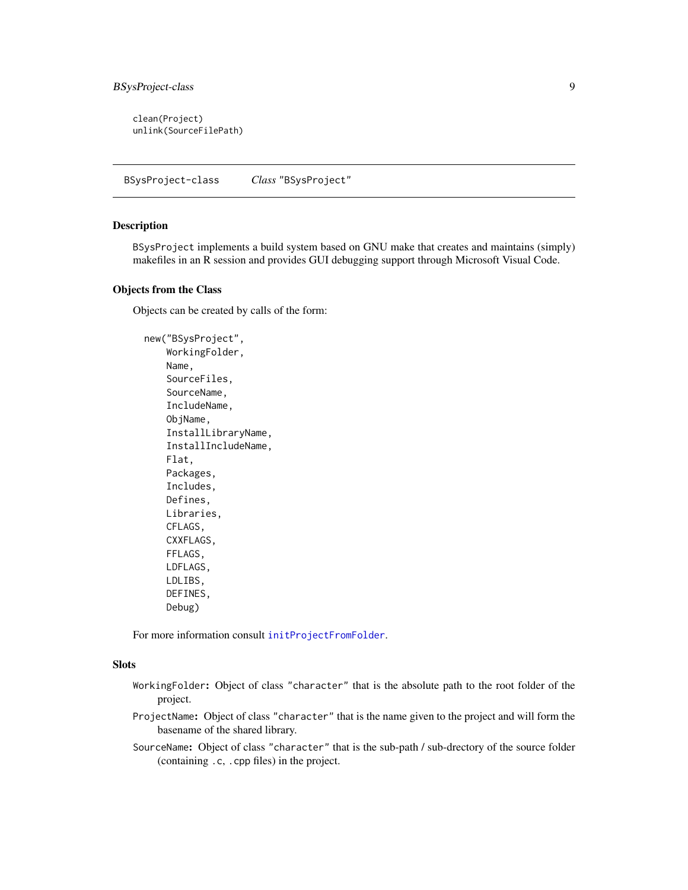<span id="page-8-0"></span>clean(Project) unlink(SourceFilePath)

BSysProject-class *Class* "BSysProject"

#### Description

BSysProject implements a build system based on GNU make that creates and maintains (simply) makefiles in an R session and provides GUI debugging support through Microsoft Visual Code.

# Objects from the Class

Objects can be created by calls of the form:

new("BSysProject", WorkingFolder, Name, SourceFiles, SourceName, IncludeName, ObjName, InstallLibraryName, InstallIncludeName, Flat, Packages, Includes, Defines, Libraries, CFLAGS, CXXFLAGS, FFLAGS, LDFLAGS, LDLIBS, DEFINES, Debug)

For more information consult [initProjectFromFolder](#page-13-1).

#### **Slots**

- WorkingFolder: Object of class "character" that is the absolute path to the root folder of the project.
- ProjectName: Object of class "character" that is the name given to the project and will form the basename of the shared library.
- SourceName: Object of class "character" that is the sub-path / sub-drectory of the source folder (containing .c, .cpp files) in the project.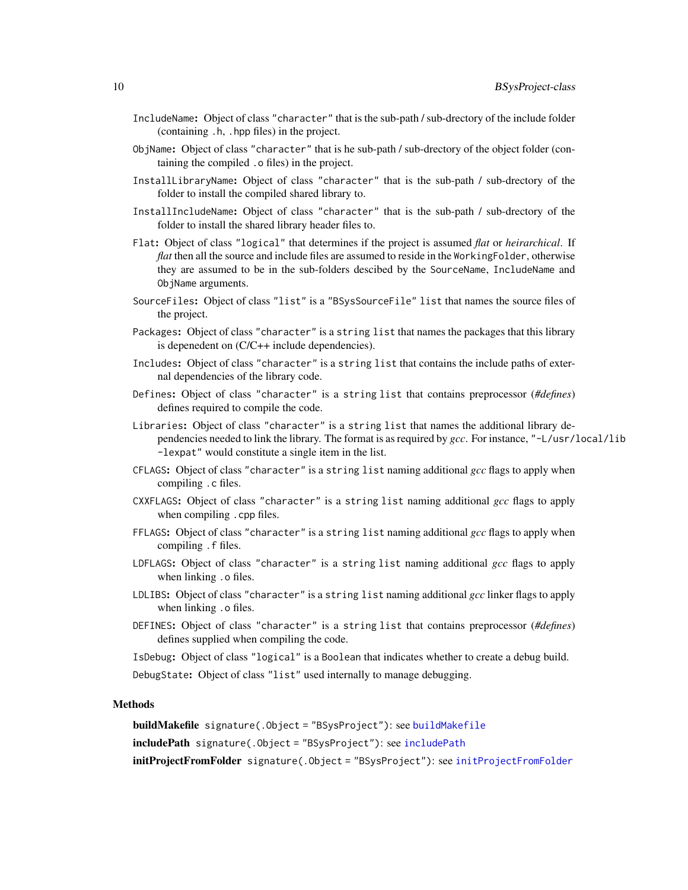- <span id="page-9-0"></span>IncludeName: Object of class "character" that is the sub-path / sub-drectory of the include folder (containing .h, .hpp files) in the project.
- ObjName: Object of class "character" that is he sub-path / sub-drectory of the object folder (containing the compiled .o files) in the project.
- InstallLibraryName: Object of class "character" that is the sub-path / sub-drectory of the folder to install the compiled shared library to.
- InstallIncludeName: Object of class "character" that is the sub-path / sub-drectory of the folder to install the shared library header files to.
- Flat: Object of class "logical" that determines if the project is assumed *flat* or *heirarchical*. If *flat* then all the source and include files are assumed to reside in the WorkingFolder, otherwise they are assumed to be in the sub-folders descibed by the SourceName, IncludeName and ObjName arguments.
- SourceFiles: Object of class "list" is a "BSysSourceFile" list that names the source files of the project.
- Packages: Object of class "character" is a string list that names the packages that this library is depenedent on (C/C++ include dependencies).
- Includes: Object of class "character" is a string list that contains the include paths of external dependencies of the library code.
- Defines: Object of class "character" is a string list that contains preprocessor (*#defines*) defines required to compile the code.
- Libraries: Object of class "character" is a string list that names the additional library dependencies needed to link the library. The format is as required by *gcc*. For instance, "-L/usr/local/lib -lexpat" would constitute a single item in the list.
- CFLAGS: Object of class "character" is a string list naming additional *gcc* flags to apply when compiling .c files.
- CXXFLAGS: Object of class "character" is a string list naming additional *gcc* flags to apply when compiling . cpp files.
- FFLAGS: Object of class "character" is a string list naming additional *gcc* flags to apply when compiling .f files.
- LDFLAGS: Object of class "character" is a string list naming additional *gcc* flags to apply when linking .o files.
- LDLIBS: Object of class "character" is a string list naming additional *gcc* linker flags to apply when linking .o files.
- DEFINES: Object of class "character" is a string list that contains preprocessor (*#defines*) defines supplied when compiling the code.
- IsDebug: Object of class "logical" is a Boolean that indicates whether to create a debug build.

DebugState: Object of class "list" used internally to manage debugging.

# Methods

buildMakefile signature(.Object = "BSysProject"): see [buildMakefile](#page-11-1)

includePath signature(.Object = "BSysProject"): see [includePath](#page-12-1)

[initProjectFromFolder](#page-13-1) signature(.Object = "BSysProject"): see initProjectFromFolder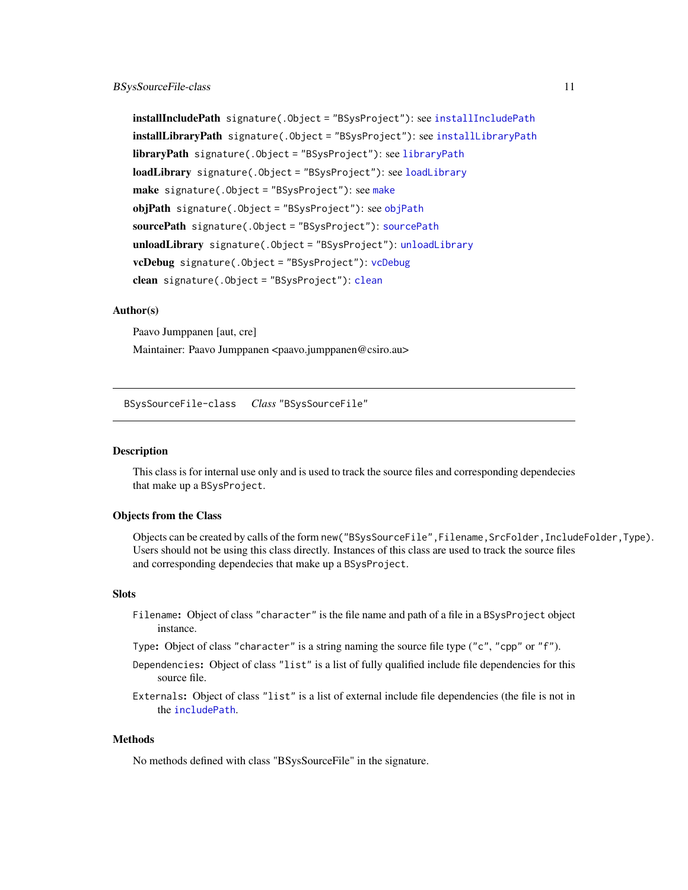<span id="page-10-0"></span>installIncludePath signature(.Object = "BSysProject"): see [installIncludePath](#page-16-1) [installLibraryPath](#page-17-1) signature(.Object = "BSysProject"): see installLibraryPath [libraryPath](#page-18-2) signature(.Object = "BSysProject"): see libraryPath [loadLibrary](#page-18-1) signature(.Object = "BSysProject"): see loadLibrary make signature(.Object = "BSysProject"): see [make](#page-19-1) [objPath](#page-20-1) signature(.Object = "BSysProject"): see objPath [sourcePath](#page-21-1) signature(.Object = "BSysProject"): sourcePath unloadLibrary signature(.Object = "BSysProject"): [unloadLibrary](#page-22-1) vcDebug signature(.Object = "BSysProject"): [vcDebug](#page-23-1) [clean](#page-12-2) signature(.Object = "BSysProject"): clean

#### Author(s)

Paavo Jumppanen [aut, cre] Maintainer: Paavo Jumppanen <paavo.jumppanen@csiro.au>

BSysSourceFile-class *Class* "BSysSourceFile"

# Description

This class is for internal use only and is used to track the source files and corresponding dependecies that make up a BSysProject.

# Objects from the Class

Objects can be created by calls of the form new("BSysSourceFile",Filename,SrcFolder,IncludeFolder,Type). Users should not be using this class directly. Instances of this class are used to track the source files and corresponding dependecies that make up a BSysProject.

# **Slots**

- Filename: Object of class "character" is the file name and path of a file in a BSysProject object instance.
- Type: Object of class "character" is a string naming the source file type ("c", "cpp" or "f").
- Dependencies: Object of class "list" is a list of fully qualified include file dependencies for this source file.
- Externals: Object of class "list" is a list of external include file dependencies (the file is not in the [includePath](#page-12-1).

#### **Methods**

No methods defined with class "BSysSourceFile" in the signature.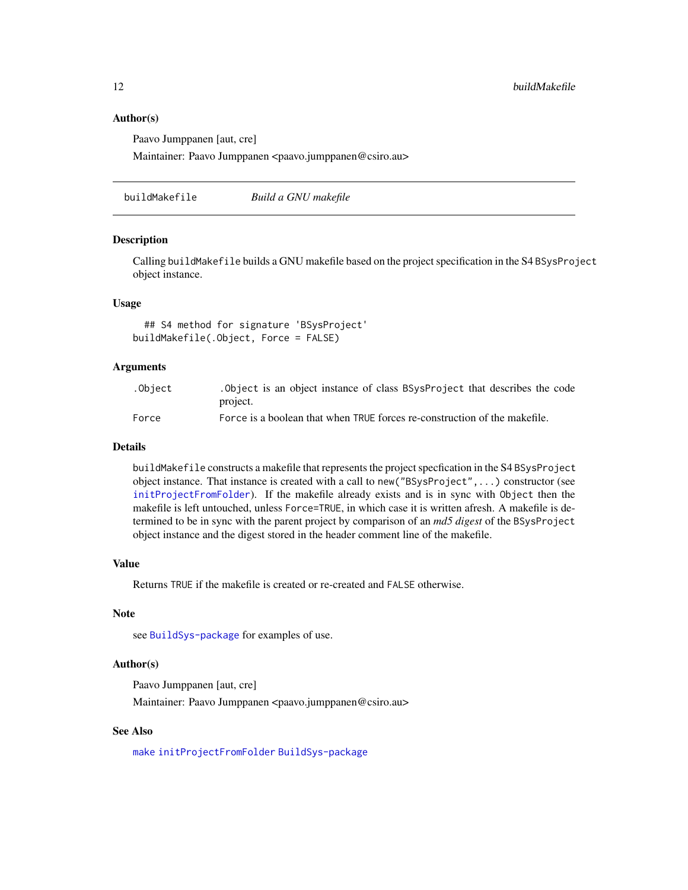# Author(s)

Paavo Jumppanen [aut, cre]

Maintainer: Paavo Jumppanen <paavo.jumppanen@csiro.au>

<span id="page-11-1"></span>buildMakefile *Build a GNU makefile*

#### Description

Calling buildMakefile builds a GNU makefile based on the project specification in the S4 BSysProject object instance.

# Usage

```
## S4 method for signature 'BSysProject'
buildMakefile(.Object, Force = FALSE)
```
# Arguments

| .Obiect | . Object is an object instance of class BSysProject that describes the code |
|---------|-----------------------------------------------------------------------------|
|         | project.                                                                    |
| Force   | Force is a boolean that when TRUE forces re-construction of the makefile.   |

# Details

buildMakefile constructs a makefile that represents the project specfication in the S4 BSysProject object instance. That instance is created with a call to new("BSysProject",...) constructor (see [initProjectFromFolder](#page-13-1)). If the makefile already exists and is in sync with Object then the makefile is left untouched, unless Force=TRUE, in which case it is written afresh. A makefile is determined to be in sync with the parent project by comparison of an *md5 digest* of the BSysProject object instance and the digest stored in the header comment line of the makefile.

#### Value

Returns TRUE if the makefile is created or re-created and FALSE otherwise.

# Note

see [BuildSys-package](#page-1-1) for examples of use.

# Author(s)

Paavo Jumppanen [aut, cre]

Maintainer: Paavo Jumppanen <paavo.jumppanen@csiro.au>

# See Also

[make](#page-19-1) [initProjectFromFolder](#page-13-1) [BuildSys-package](#page-1-1)

<span id="page-11-0"></span>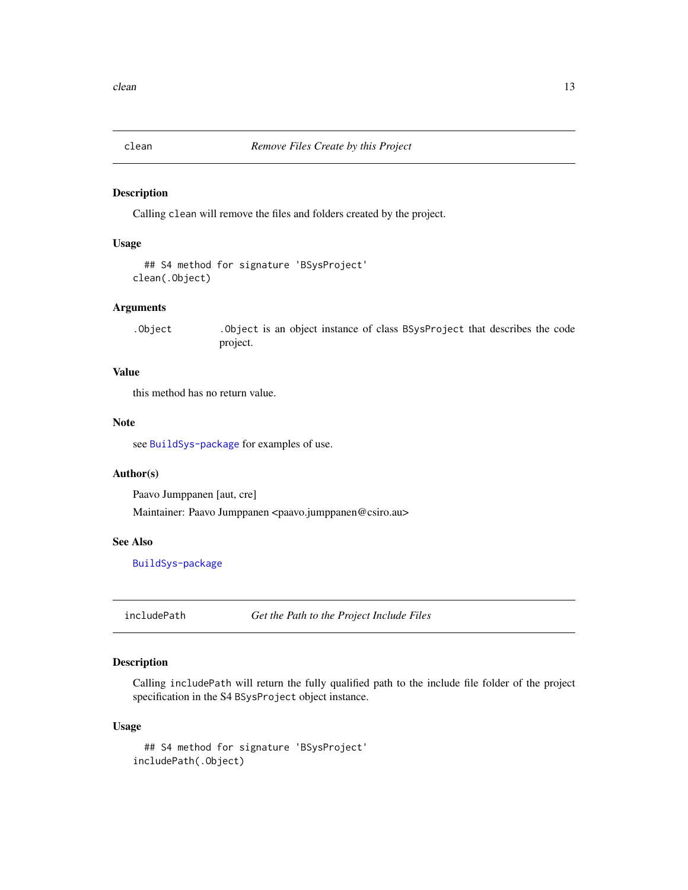<span id="page-12-2"></span><span id="page-12-0"></span>

# Description

Calling clean will remove the files and folders created by the project.

# Usage

```
## S4 method for signature 'BSysProject'
clean(.Object)
```
# Arguments

.Object .Object is an object instance of class BSysProject that describes the code project.

# Value

this method has no return value.

# Note

see [BuildSys-package](#page-1-1) for examples of use.

# Author(s)

Paavo Jumppanen [aut, cre]

Maintainer: Paavo Jumppanen <paavo.jumppanen@csiro.au>

#### See Also

[BuildSys-package](#page-1-1)

<span id="page-12-1"></span>includePath *Get the Path to the Project Include Files*

# Description

Calling includePath will return the fully qualified path to the include file folder of the project specification in the S4 BSysProject object instance.

#### Usage

```
## S4 method for signature 'BSysProject'
includePath(.Object)
```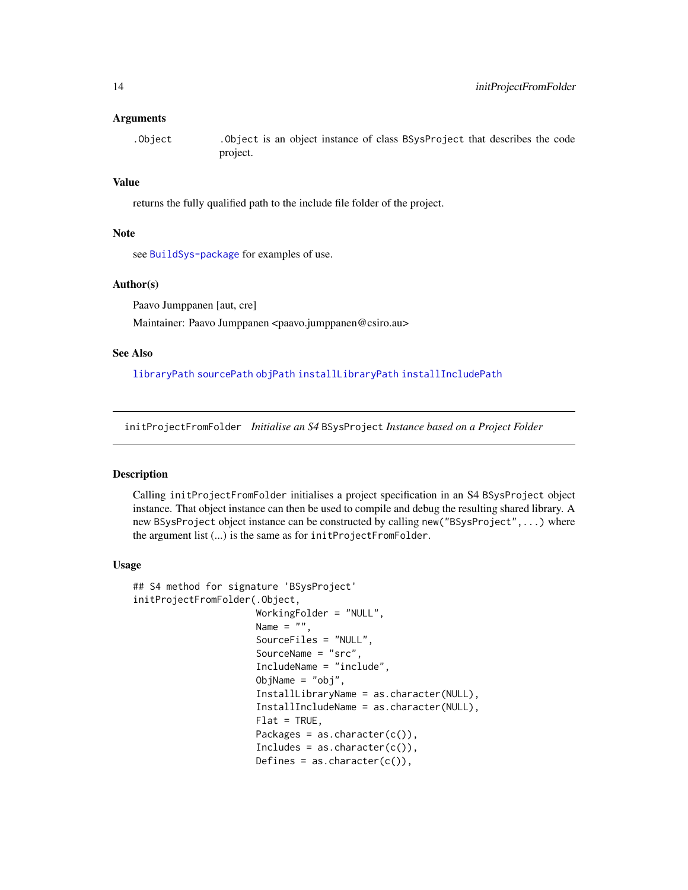# <span id="page-13-0"></span>Arguments

.Object .Object is an object instance of class BSysProject that describes the code project.

# Value

returns the fully qualified path to the include file folder of the project.

# Note

see [BuildSys-package](#page-1-1) for examples of use.

# Author(s)

Paavo Jumppanen [aut, cre]

Maintainer: Paavo Jumppanen <paavo.jumppanen@csiro.au>

#### See Also

[libraryPath](#page-18-2) [sourcePath](#page-21-1) [objPath](#page-20-1) [installLibraryPath](#page-17-1) [installIncludePath](#page-16-1)

<span id="page-13-1"></span>initProjectFromFolder *Initialise an S4* BSysProject *Instance based on a Project Folder*

# Description

Calling initProjectFromFolder initialises a project specification in an S4 BSysProject object instance. That object instance can then be used to compile and debug the resulting shared library. A new BSysProject object instance can be constructed by calling new("BSysProject",...) where the argument list (...) is the same as for initProjectFromFolder.

#### Usage

```
## S4 method for signature 'BSysProject'
initProjectFromFolder(.Object,
                      WorkingFolder = "NULL",
                      Name = ",
                      SourceFiles = "NULL",
                      SourceName = "src",
                      IncludeName = "include",
                      ObjName = "obj",
                      InstallLibraryName = as.character(NULL),
                      InstallIncludeName = as.character(NULL),
                      Flat = TRUE,
                      Packages = as. character(c()),
                      Includes = as. character(c()),
                      Defines = as.character(c()),
```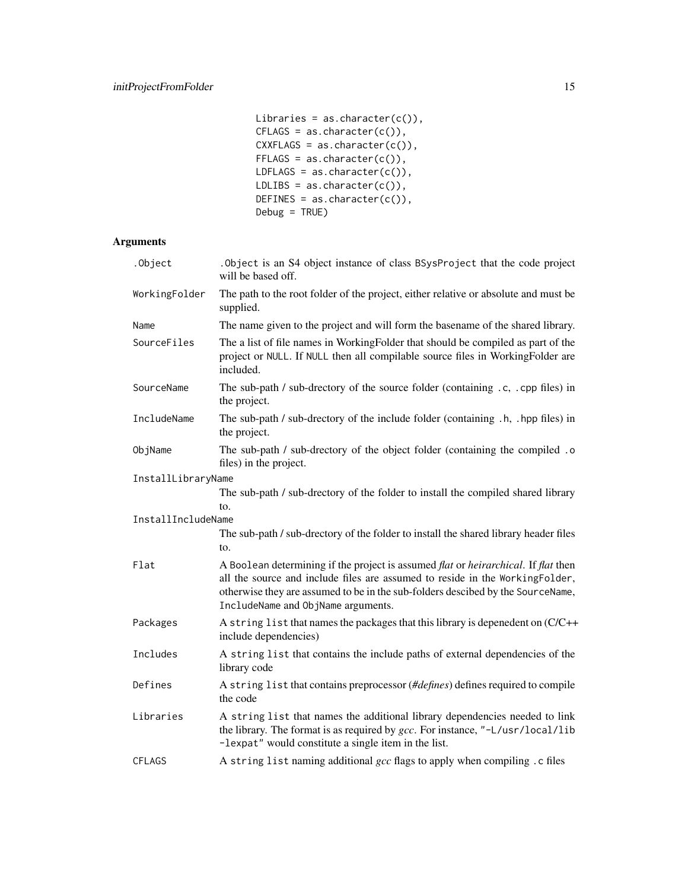```
Libraries = as.character(c()),
CFLAGS = as.charAter(c()),
CXXFLAGS = as.charAter(c()),
FFLAGS = as.charAtactor(c()),
LDFLAGS = as.character(c()),
LDLIBS = as. character(c()),
DEFINES = as. character(c()),
Debug = TRUE)
```
# Arguments

| .Object            | . Object is an S4 object instance of class BSysProject that the code project<br>will be based off.                                                                                                                                                                                          |
|--------------------|---------------------------------------------------------------------------------------------------------------------------------------------------------------------------------------------------------------------------------------------------------------------------------------------|
| WorkingFolder      | The path to the root folder of the project, either relative or absolute and must be<br>supplied.                                                                                                                                                                                            |
| Name               | The name given to the project and will form the basename of the shared library.                                                                                                                                                                                                             |
| SourceFiles        | The a list of file names in WorkingFolder that should be compiled as part of the<br>project or NULL. If NULL then all compilable source files in WorkingFolder are<br>included.                                                                                                             |
| SourceName         | The sub-path / sub-drectory of the source folder (containing .c, .cpp files) in<br>the project.                                                                                                                                                                                             |
| IncludeName        | The sub-path / sub-drectory of the include folder (containing .h, .hpp files) in<br>the project.                                                                                                                                                                                            |
| ObjName            | The sub-path / sub-drectory of the object folder (containing the compiled .o<br>files) in the project.                                                                                                                                                                                      |
| InstallLibraryName |                                                                                                                                                                                                                                                                                             |
|                    | The sub-path / sub-drectory of the folder to install the compiled shared library                                                                                                                                                                                                            |
| InstallIncludeName | to.                                                                                                                                                                                                                                                                                         |
|                    | The sub-path / sub-drectory of the folder to install the shared library header files<br>to.                                                                                                                                                                                                 |
| Flat               | A Boolean determining if the project is assumed flat or heirarchical. If flat then<br>all the source and include files are assumed to reside in the WorkingFolder,<br>otherwise they are assumed to be in the sub-folders descibed by the SourceName,<br>IncludeName and ObjName arguments. |
| Packages           | A string list that names the packages that this library is depenedent on (C/C++<br>include dependencies)                                                                                                                                                                                    |
| Includes           | A string list that contains the include paths of external dependencies of the<br>library code                                                                                                                                                                                               |
| Defines            | A string list that contains preprocessor (#defines) defines required to compile<br>the code                                                                                                                                                                                                 |
| Libraries          | A string list that names the additional library dependencies needed to link<br>the library. The format is as required by gcc. For instance, "-L/usr/local/lib<br>-lexpat" would constitute a single item in the list.                                                                       |
| <b>CFLAGS</b>      | A string list naming additional gcc flags to apply when compiling. c files                                                                                                                                                                                                                  |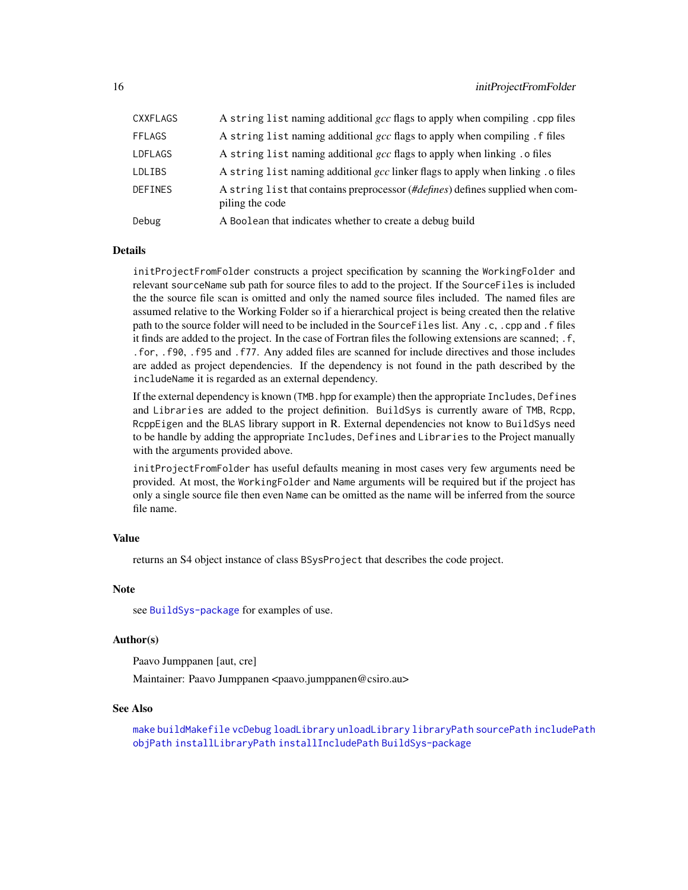<span id="page-15-0"></span>

| CXXFLAGS      | A string list naming additional gcc flags to apply when compiling.cpp files                       |
|---------------|---------------------------------------------------------------------------------------------------|
| <b>FFLAGS</b> | A string list naming additional gcc flags to apply when compiling . f files                       |
| LDFLAGS       | A string list naming additional gcc flags to apply when linking . o files                         |
| LDLIBS        | A string list naming additional gcc linker flags to apply when linking . o files                  |
| DEFINES       | A string list that contains preprocessor (#defines) defines supplied when com-<br>piling the code |
| Debug         | A Boolean that indicates whether to create a debug build                                          |

# **Details**

initProjectFromFolder constructs a project specification by scanning the WorkingFolder and relevant sourceName sub path for source files to add to the project. If the SourceFiles is included the the source file scan is omitted and only the named source files included. The named files are assumed relative to the Working Folder so if a hierarchical project is being created then the relative path to the source folder will need to be included in the SourceFiles list. Any .c, .cpp and .f files it finds are added to the project. In the case of Fortran files the following extensions are scanned; .f, .for, .f90, .f95 and .f77. Any added files are scanned for include directives and those includes are added as project dependencies. If the dependency is not found in the path described by the includeName it is regarded as an external dependency.

If the external dependency is known (TMB. hpp for example) then the appropriate Includes, Defines and Libraries are added to the project definition. BuildSys is currently aware of TMB, Rcpp, RcppEigen and the BLAS library support in R. External dependencies not know to BuildSys need to be handle by adding the appropriate Includes, Defines and Libraries to the Project manually with the arguments provided above.

initProjectFromFolder has useful defaults meaning in most cases very few arguments need be provided. At most, the WorkingFolder and Name arguments will be required but if the project has only a single source file then even Name can be omitted as the name will be inferred from the source file name.

# Value

returns an S4 object instance of class BSysProject that describes the code project.

#### **Note**

see [BuildSys-package](#page-1-1) for examples of use.

#### Author(s)

Paavo Jumppanen [aut, cre]

Maintainer: Paavo Jumppanen <paavo.jumppanen@csiro.au>

#### See Also

[make](#page-19-1) [buildMakefile](#page-11-1) [vcDebug](#page-23-1) [loadLibrary](#page-18-1) [unloadLibrary](#page-22-1) [libraryPath](#page-18-2) [sourcePath](#page-21-1) [includePath](#page-12-1) [objPath](#page-20-1) [installLibraryPath](#page-17-1) [installIncludePath](#page-16-1) [BuildSys-package](#page-1-1)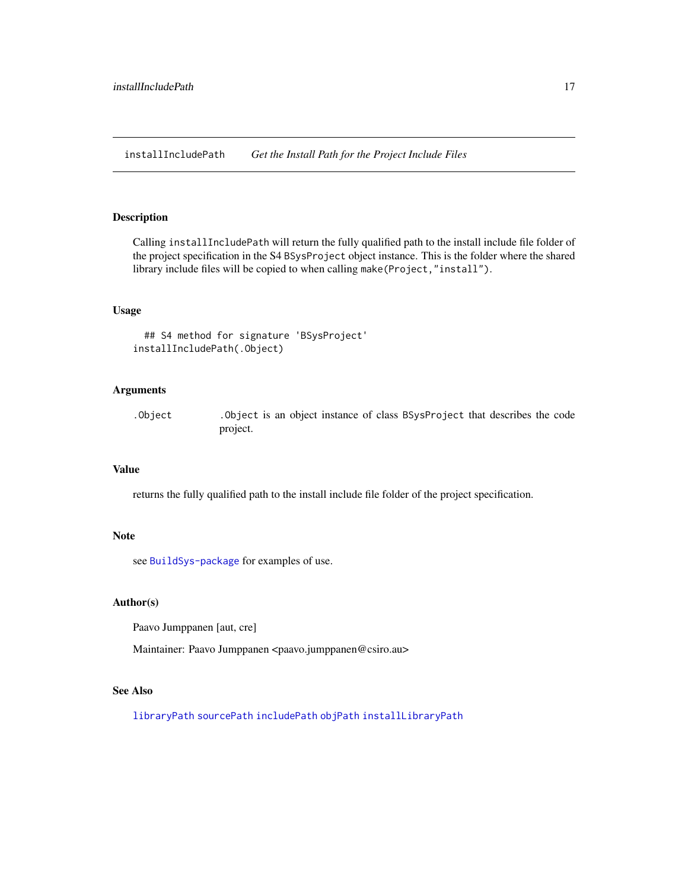<span id="page-16-1"></span><span id="page-16-0"></span>installIncludePath *Get the Install Path for the Project Include Files*

# Description

Calling installIncludePath will return the fully qualified path to the install include file folder of the project specification in the S4 BSysProject object instance. This is the folder where the shared library include files will be copied to when calling make(Project,"install").

# Usage

```
## S4 method for signature 'BSysProject'
installIncludePath(.Object)
```
# Arguments

.Object .Object is an object instance of class BSysProject that describes the code project.

# Value

returns the fully qualified path to the install include file folder of the project specification.

#### Note

see [BuildSys-package](#page-1-1) for examples of use.

#### Author(s)

Paavo Jumppanen [aut, cre]

Maintainer: Paavo Jumppanen <paavo.jumppanen@csiro.au>

# See Also

[libraryPath](#page-18-2) [sourcePath](#page-21-1) [includePath](#page-12-1) [objPath](#page-20-1) [installLibraryPath](#page-17-1)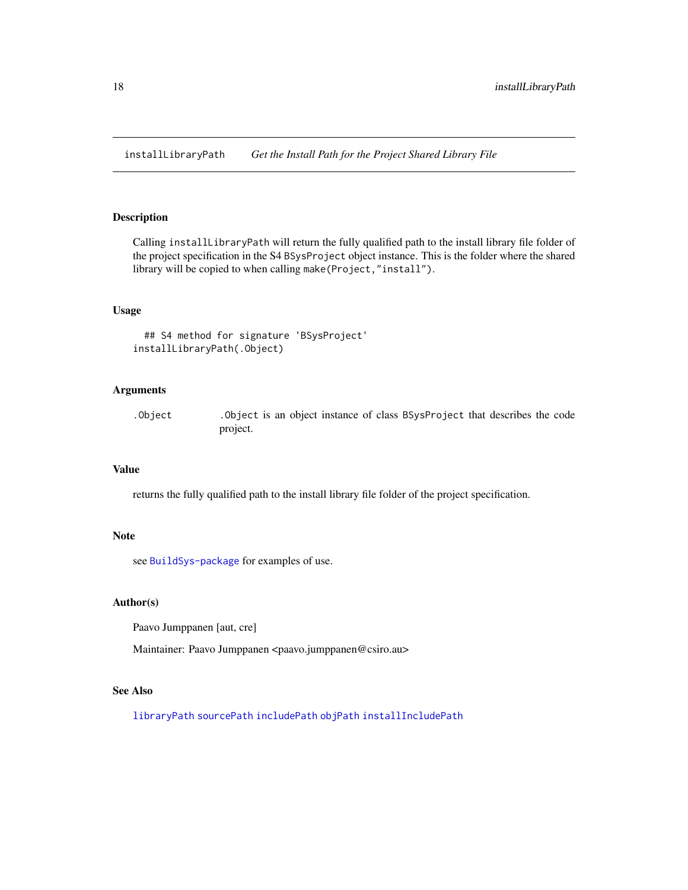<span id="page-17-1"></span><span id="page-17-0"></span>installLibraryPath *Get the Install Path for the Project Shared Library File*

# Description

Calling installLibraryPath will return the fully qualified path to the install library file folder of the project specification in the S4 BSysProject object instance. This is the folder where the shared library will be copied to when calling make(Project,"install").

# Usage

```
## S4 method for signature 'BSysProject'
installLibraryPath(.Object)
```
# Arguments

.Object .Object is an object instance of class BSysProject that describes the code project.

# Value

returns the fully qualified path to the install library file folder of the project specification.

#### Note

see [BuildSys-package](#page-1-1) for examples of use.

#### Author(s)

Paavo Jumppanen [aut, cre]

Maintainer: Paavo Jumppanen <paavo.jumppanen@csiro.au>

# See Also

[libraryPath](#page-18-2) [sourcePath](#page-21-1) [includePath](#page-12-1) [objPath](#page-20-1) [installIncludePath](#page-16-1)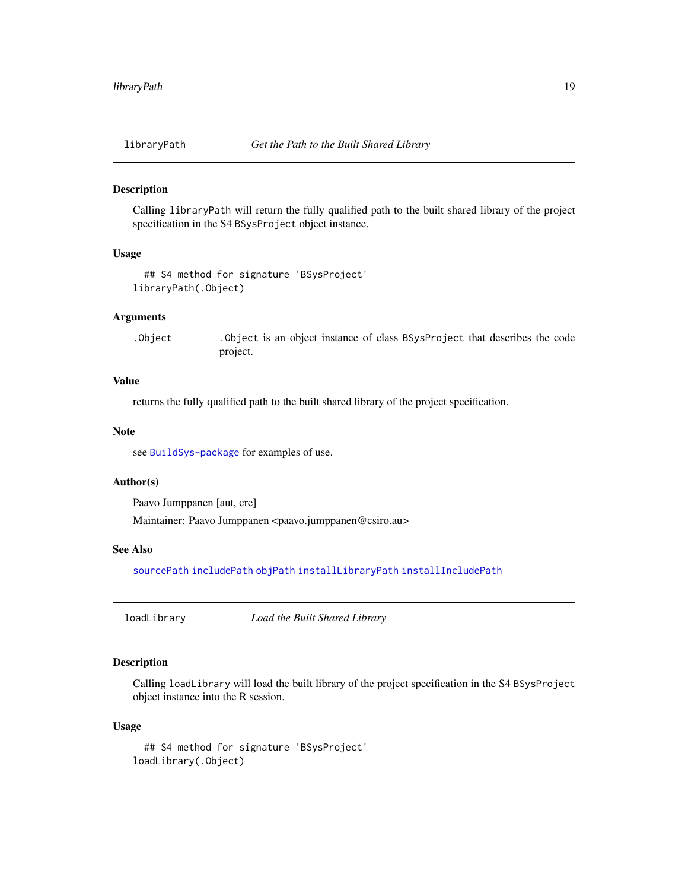<span id="page-18-2"></span><span id="page-18-0"></span>

# Description

Calling libraryPath will return the fully qualified path to the built shared library of the project specification in the S4 BSysProject object instance.

# Usage

```
## S4 method for signature 'BSysProject'
libraryPath(.Object)
```
# Arguments

.Object .Object is an object instance of class BSysProject that describes the code project.

# Value

returns the fully qualified path to the built shared library of the project specification.

#### Note

see [BuildSys-package](#page-1-1) for examples of use.

# Author(s)

Paavo Jumppanen [aut, cre]

Maintainer: Paavo Jumppanen <paavo.jumppanen@csiro.au>

# See Also

[sourcePath](#page-21-1) [includePath](#page-12-1) [objPath](#page-20-1) [installLibraryPath](#page-17-1) [installIncludePath](#page-16-1)

<span id="page-18-1"></span>loadLibrary *Load the Built Shared Library*

# Description

Calling loadLibrary will load the built library of the project specification in the S4 BSysProject object instance into the R session.

#### Usage

```
## S4 method for signature 'BSysProject'
loadLibrary(.Object)
```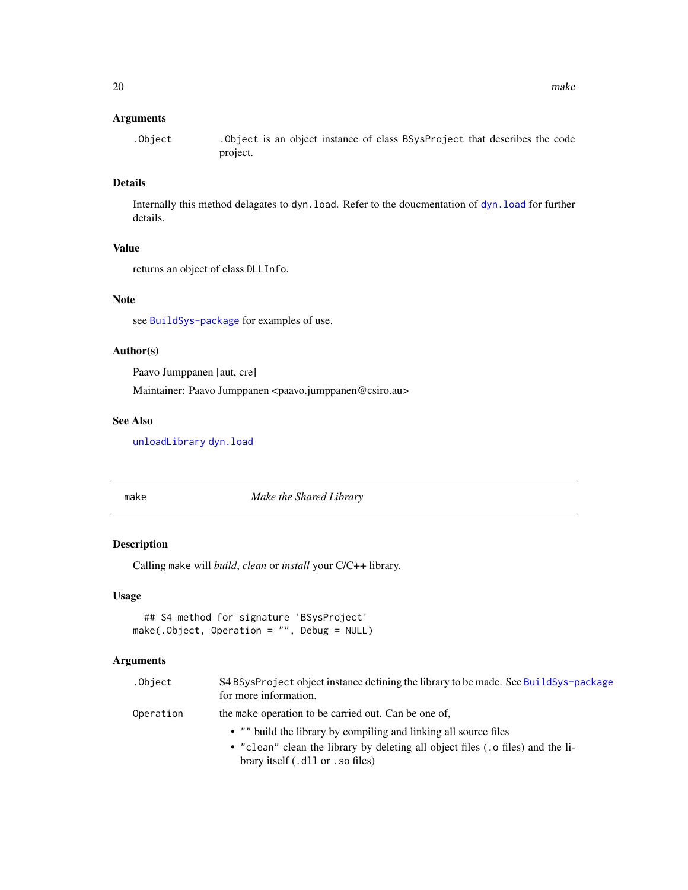# <span id="page-19-0"></span>Arguments

.Object .Object is an object instance of class BSysProject that describes the code project.

# Details

Internally this method delagates to dyn.load. Refer to the doucmentation of [dyn.load](#page-0-0) for further details.

# Value

returns an object of class DLLInfo.

# Note

see [BuildSys-package](#page-1-1) for examples of use.

# Author(s)

Paavo Jumppanen [aut, cre]

Maintainer: Paavo Jumppanen <paavo.jumppanen@csiro.au>

# See Also

[unloadLibrary](#page-22-1) [dyn.load](#page-0-0)

make *Make the Shared Library*

# Description

Calling make will *build*, *clean* or *install* your C/C++ library.

# Usage

```
## S4 method for signature 'BSysProject'
make(.Object, Operation = "", Debug = NULL)
```
# Arguments

| .Object   | S4 BSysProject object instance defining the library to be made. See BuildSys-package<br>for more information. |
|-----------|---------------------------------------------------------------------------------------------------------------|
| Operation | the make operation to be carried out. Can be one of,                                                          |
|           | • "" build the library by compiling and linking all source files                                              |
|           | • "clean" clean the library by deleting all object files (.o files) and the li-                               |
|           | brary itself (.dl or . so files)                                                                              |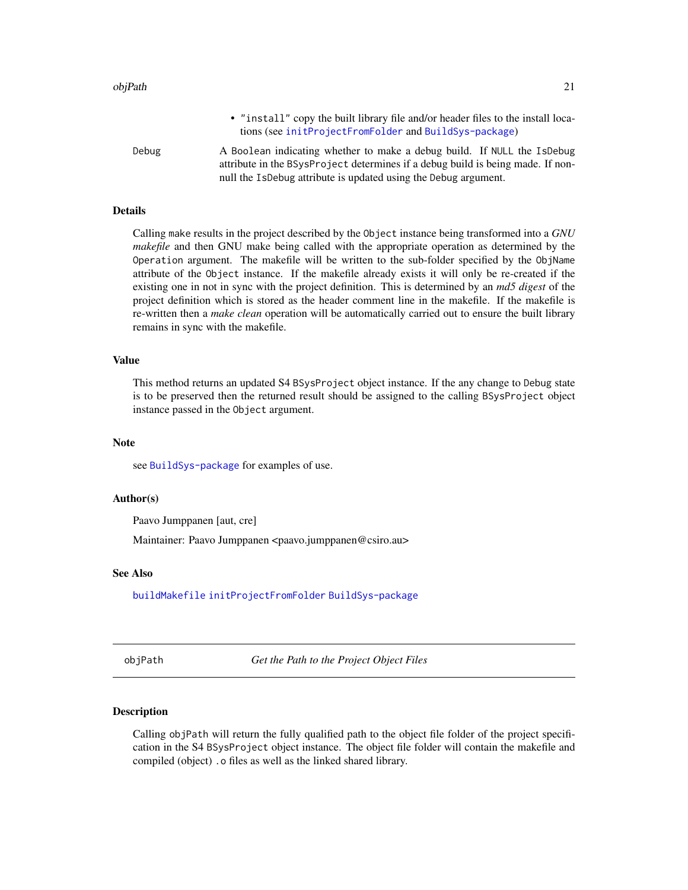<span id="page-20-0"></span>

|       | • "install" copy the built library file and/or header files to the install loca-<br>tions (see initProjectFromFolder and BuildSys-package)                                                                                    |
|-------|-------------------------------------------------------------------------------------------------------------------------------------------------------------------------------------------------------------------------------|
| Debug | A Boolean indicating whether to make a debug build. If NULL the IsDebug<br>attribute in the BSysProject determines if a debug build is being made. If non-<br>null the IsDebug attribute is updated using the Debug argument. |

# Details

Calling make results in the project described by the Object instance being transformed into a *GNU makefile* and then GNU make being called with the appropriate operation as determined by the Operation argument. The makefile will be written to the sub-folder specified by the ObjName attribute of the Object instance. If the makefile already exists it will only be re-created if the existing one in not in sync with the project definition. This is determined by an *md5 digest* of the project definition which is stored as the header comment line in the makefile. If the makefile is re-written then a *make clean* operation will be automatically carried out to ensure the built library remains in sync with the makefile.

# Value

This method returns an updated S4 BSysProject object instance. If the any change to Debug state is to be preserved then the returned result should be assigned to the calling BSysProject object instance passed in the Object argument.

# Note

see [BuildSys-package](#page-1-1) for examples of use.

# Author(s)

Paavo Jumppanen [aut, cre]

Maintainer: Paavo Jumppanen <paavo.jumppanen@csiro.au>

# See Also

[buildMakefile](#page-11-1) [initProjectFromFolder](#page-13-1) [BuildSys-package](#page-1-1)

<span id="page-20-1"></span>objPath *Get the Path to the Project Object Files*

# **Description**

Calling objPath will return the fully qualified path to the object file folder of the project specification in the S4 BSysProject object instance. The object file folder will contain the makefile and compiled (object) .o files as well as the linked shared library.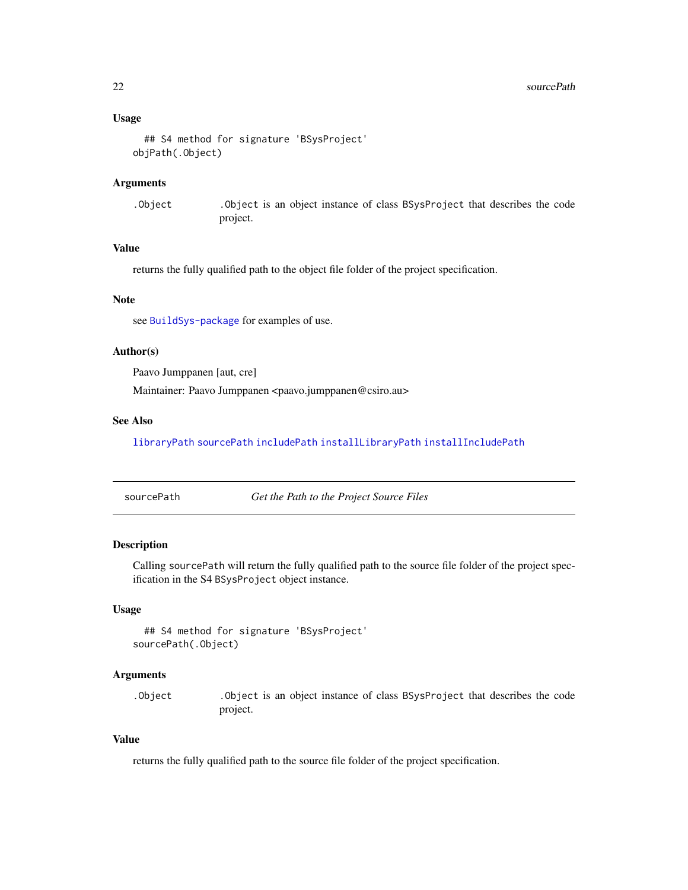# <span id="page-21-0"></span>Usage

```
## S4 method for signature 'BSysProject'
objPath(.Object)
```
#### Arguments

.Object .Object is an object instance of class BSysProject that describes the code project.

# Value

returns the fully qualified path to the object file folder of the project specification.

#### Note

see [BuildSys-package](#page-1-1) for examples of use.

# Author(s)

Paavo Jumppanen [aut, cre]

Maintainer: Paavo Jumppanen <paavo.jumppanen@csiro.au>

# See Also

[libraryPath](#page-18-2) [sourcePath](#page-21-1) [includePath](#page-12-1) [installLibraryPath](#page-17-1) [installIncludePath](#page-16-1)

<span id="page-21-1"></span>sourcePath *Get the Path to the Project Source Files*

# Description

Calling sourcePath will return the fully qualified path to the source file folder of the project specification in the S4 BSysProject object instance.

# Usage

```
## S4 method for signature 'BSysProject'
sourcePath(.Object)
```
# Arguments

.Object .Object is an object instance of class BSysProject that describes the code project.

# Value

returns the fully qualified path to the source file folder of the project specification.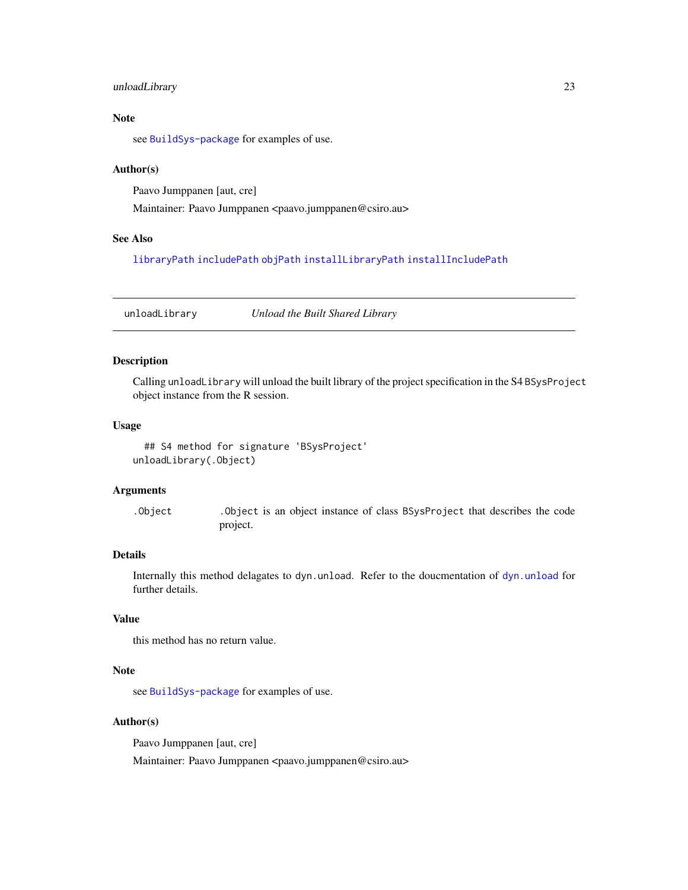# <span id="page-22-0"></span>unloadLibrary 23

# Note

see [BuildSys-package](#page-1-1) for examples of use.

## Author(s)

Paavo Jumppanen [aut, cre]

Maintainer: Paavo Jumppanen <paavo.jumppanen@csiro.au>

# See Also

[libraryPath](#page-18-2) [includePath](#page-12-1) [objPath](#page-20-1) [installLibraryPath](#page-17-1) [installIncludePath](#page-16-1)

<span id="page-22-1"></span>unloadLibrary *Unload the Built Shared Library*

# Description

Calling unloadLibrary will unload the built library of the project specification in the S4 BSysProject object instance from the R session.

# Usage

```
## S4 method for signature 'BSysProject'
unloadLibrary(.Object)
```
#### Arguments

.Object .Object is an object instance of class BSysProject that describes the code project.

# Details

Internally this method delagates to dyn.unload. Refer to the doucmentation of [dyn.unload](#page-0-0) for further details.

# Value

this method has no return value.

#### Note

see [BuildSys-package](#page-1-1) for examples of use.

# Author(s)

Paavo Jumppanen [aut, cre]

Maintainer: Paavo Jumppanen <paavo.jumppanen@csiro.au>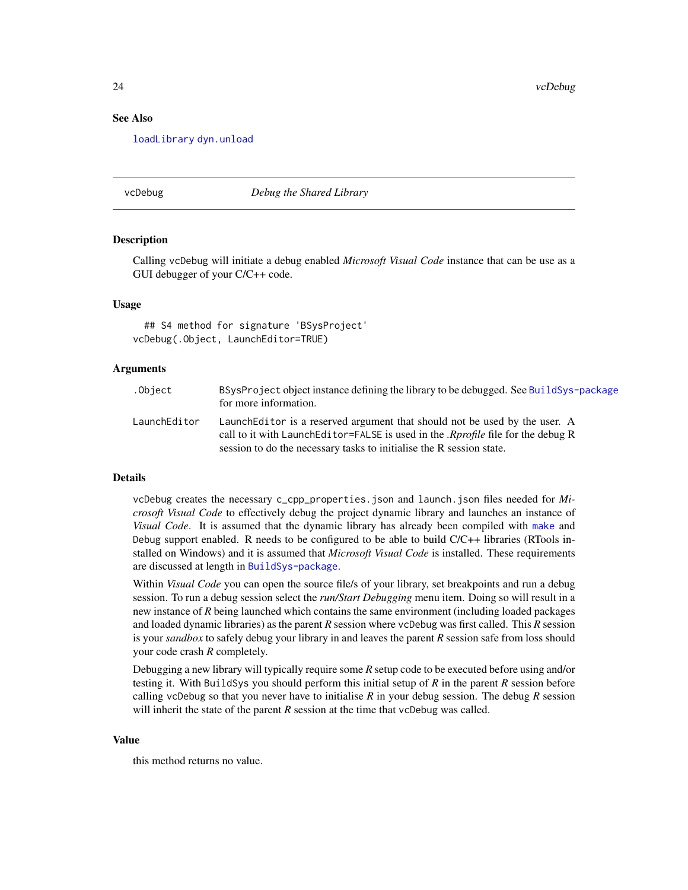24 vcDebug

# See Also

[loadLibrary](#page-18-1) [dyn.unload](#page-0-0)

#### <span id="page-23-1"></span>vcDebug *Debug the Shared Library*

#### Description

Calling vcDebug will initiate a debug enabled *Microsoft Visual Code* instance that can be use as a GUI debugger of your C/C++ code.

# Usage

## S4 method for signature 'BSysProject' vcDebug(.Object, LaunchEditor=TRUE)

# Arguments

| .Object      | BSysProject object instance defining the library to be debugged. See BuildSys-package<br>for more information.                                                                                                                               |
|--------------|----------------------------------------------------------------------------------------------------------------------------------------------------------------------------------------------------------------------------------------------|
| LaunchEditor | LaunchEditor is a reserved argument that should not be used by the user. A<br>call to it with LaunchEditor=FALSE is used in the <i>Rprofile</i> file for the debug R<br>session to do the necessary tasks to initialise the R session state. |

#### Details

vcDebug creates the necessary c\_cpp\_properties.json and launch.json files needed for *Microsoft Visual Code* to effectively debug the project dynamic library and launches an instance of *Visual Code*. It is assumed that the dynamic library has already been compiled with [make](#page-19-1) and Debug support enabled. R needs to be configured to be able to build  $C/C++$  libraries (RTools installed on Windows) and it is assumed that *Microsoft Visual Code* is installed. These requirements are discussed at length in [BuildSys-package](#page-1-1).

Within *Visual Code* you can open the source file/s of your library, set breakpoints and run a debug session. To run a debug session select the *run/Start Debugging* menu item. Doing so will result in a new instance of *R* being launched which contains the same environment (including loaded packages and loaded dynamic libraries) as the parent *R* session where vcDebug was first called. This *R* session is your *sandbox* to safely debug your library in and leaves the parent *R* session safe from loss should your code crash *R* completely.

Debugging a new library will typically require some *R* setup code to be executed before using and/or testing it. With BuildSys you should perform this initial setup of *R* in the parent *R* session before calling vcDebug so that you never have to initialise  $R$  in your debug session. The debug  $R$  session will inherit the state of the parent  $R$  session at the time that vcDebug was called.

#### Value

this method returns no value.

<span id="page-23-0"></span>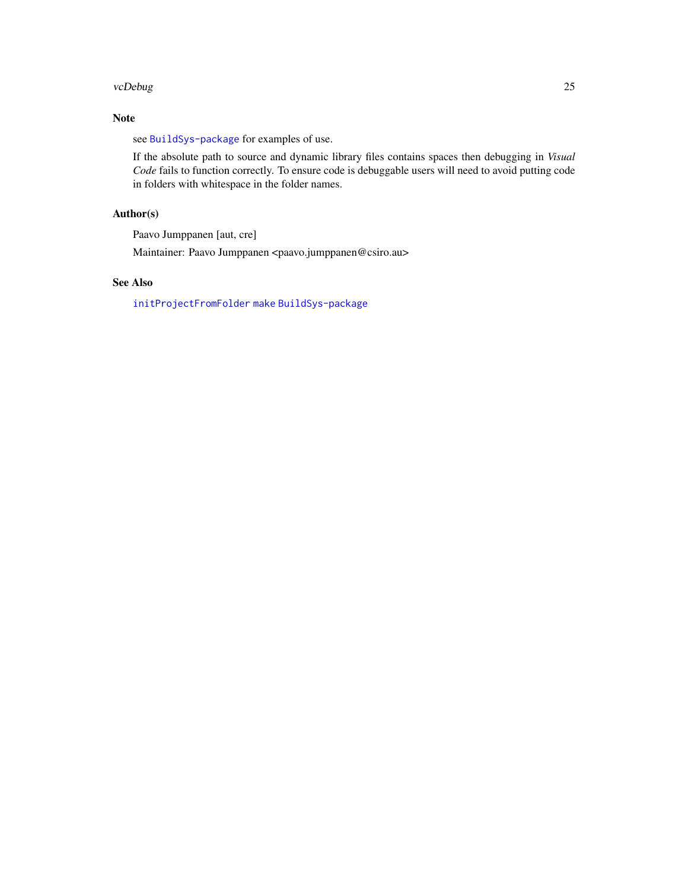#### <span id="page-24-0"></span>vcDebug 25

# Note

see [BuildSys-package](#page-1-1) for examples of use.

If the absolute path to source and dynamic library files contains spaces then debugging in *Visual Code* fails to function correctly. To ensure code is debuggable users will need to avoid putting code in folders with whitespace in the folder names.

# Author(s)

Paavo Jumppanen [aut, cre]

Maintainer: Paavo Jumppanen <paavo.jumppanen@csiro.au>

# See Also

[initProjectFromFolder](#page-13-1) [make](#page-19-1) [BuildSys-package](#page-1-1)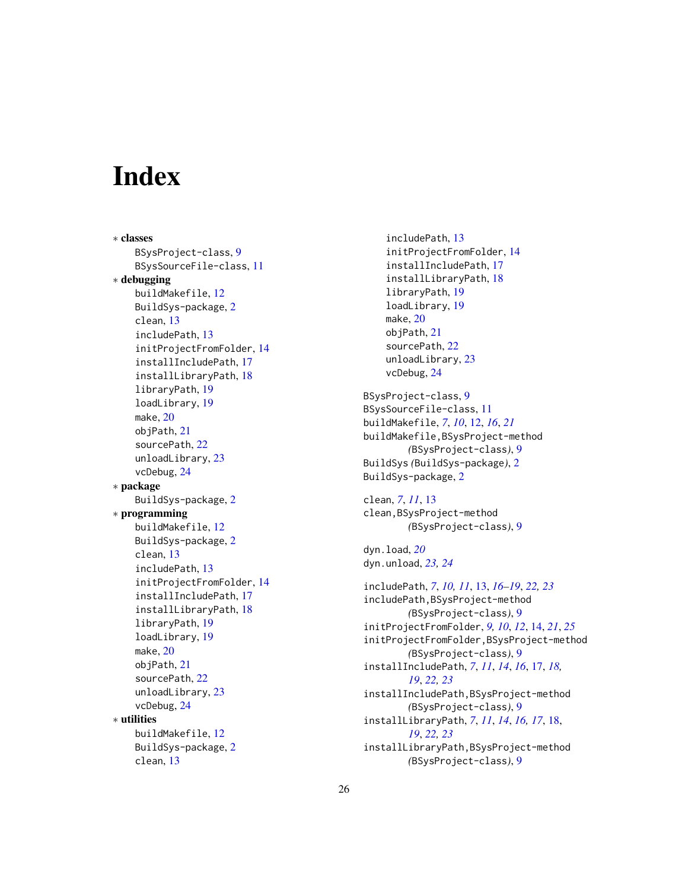# <span id="page-25-0"></span>**Index**

∗ classes BSysProject-class, [9](#page-8-0) BSysSourceFile-class, [11](#page-10-0) ∗ debugging buildMakefile, [12](#page-11-0) BuildSys-package, [2](#page-1-0) clean, [13](#page-12-0) includePath, [13](#page-12-0) initProjectFromFolder, [14](#page-13-0) installIncludePath, [17](#page-16-0) installLibraryPath, [18](#page-17-0) libraryPath, [19](#page-18-0) loadLibrary, [19](#page-18-0) make, [20](#page-19-0) objPath, [21](#page-20-0) sourcePath, [22](#page-21-0) unloadLibrary, [23](#page-22-0) vcDebug, [24](#page-23-0) ∗ package BuildSys-package, [2](#page-1-0) ∗ programming buildMakefile, [12](#page-11-0) BuildSys-package, [2](#page-1-0) clean, [13](#page-12-0) includePath, [13](#page-12-0) initProjectFromFolder, [14](#page-13-0) installIncludePath, [17](#page-16-0) installLibraryPath, [18](#page-17-0) libraryPath, [19](#page-18-0) loadLibrary, [19](#page-18-0) make, [20](#page-19-0) objPath, [21](#page-20-0) sourcePath, [22](#page-21-0) unloadLibrary, [23](#page-22-0) vcDebug, [24](#page-23-0) ∗ utilities buildMakefile, [12](#page-11-0) BuildSys-package, [2](#page-1-0) clean, [13](#page-12-0)

includePath, [13](#page-12-0) initProjectFromFolder, [14](#page-13-0) installIncludePath, [17](#page-16-0) installLibraryPath, [18](#page-17-0) libraryPath, [19](#page-18-0) loadLibrary, [19](#page-18-0) make, [20](#page-19-0) objPath, [21](#page-20-0) sourcePath, [22](#page-21-0) unloadLibrary, [23](#page-22-0) vcDebug, [24](#page-23-0) BSysProject-class, [9](#page-8-0) BSysSourceFile-class, [11](#page-10-0) buildMakefile, *[7](#page-6-0)*, *[10](#page-9-0)*, [12,](#page-11-0) *[16](#page-15-0)*, *[21](#page-20-0)* buildMakefile,BSysProject-method *(*BSysProject-class*)*, [9](#page-8-0) BuildSys *(*BuildSys-package*)*, [2](#page-1-0)

clean, *[7](#page-6-0)*, *[11](#page-10-0)*, [13](#page-12-0) clean,BSysProject-method *(*BSysProject-class*)*, [9](#page-8-0)

dyn.load, *[20](#page-19-0)* dyn.unload, *[23,](#page-22-0) [24](#page-23-0)*

BuildSys-package, [2](#page-1-0)

includePath, *[7](#page-6-0)*, *[10,](#page-9-0) [11](#page-10-0)*, [13,](#page-12-0) *[16](#page-15-0)[–19](#page-18-0)*, *[22,](#page-21-0) [23](#page-22-0)* includePath,BSysProject-method *(*BSysProject-class*)*, [9](#page-8-0) initProjectFromFolder, *[9,](#page-8-0) [10](#page-9-0)*, *[12](#page-11-0)*, [14,](#page-13-0) *[21](#page-20-0)*, *[25](#page-24-0)* initProjectFromFolder,BSysProject-method *(*BSysProject-class*)*, [9](#page-8-0) installIncludePath, *[7](#page-6-0)*, *[11](#page-10-0)*, *[14](#page-13-0)*, *[16](#page-15-0)*, [17,](#page-16-0) *[18,](#page-17-0) [19](#page-18-0)*, *[22,](#page-21-0) [23](#page-22-0)* installIncludePath,BSysProject-method *(*BSysProject-class*)*, [9](#page-8-0) installLibraryPath, *[7](#page-6-0)*, *[11](#page-10-0)*, *[14](#page-13-0)*, *[16,](#page-15-0) [17](#page-16-0)*, [18,](#page-17-0) *[19](#page-18-0)*, *[22,](#page-21-0) [23](#page-22-0)* installLibraryPath,BSysProject-method *(*BSysProject-class*)*, [9](#page-8-0)